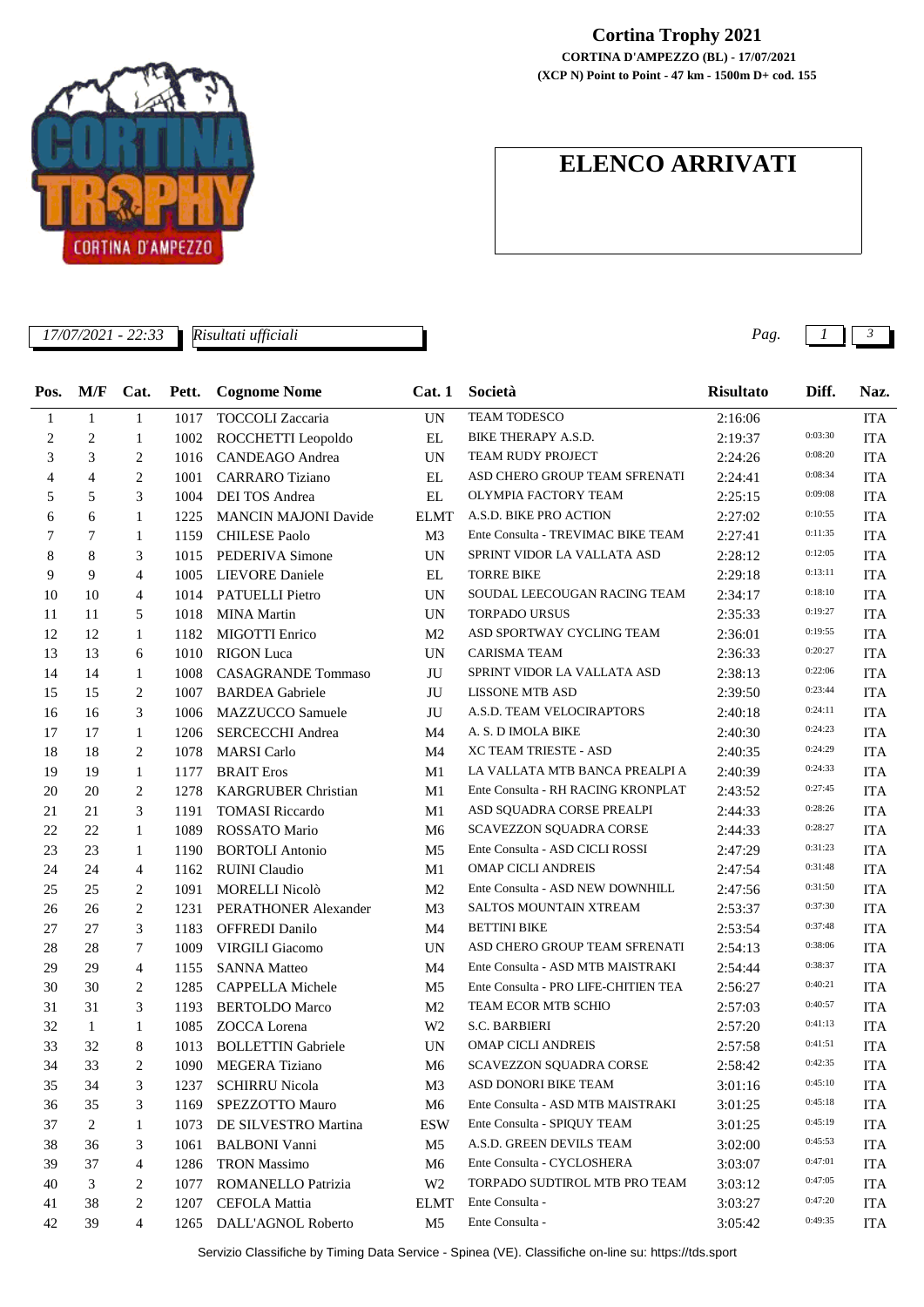

## **CORTINA D'AMPEZZO (BL) - 17/07/2021 Cortina Trophy 2021**

**(XCP N) Point to Point - 47 km - 1500m D+ cod. 155**

## **ELENCO ARRIVATI**

| 17/07/2021 - 22:33<br>Risultati ufficiali |                |                |       |                             |                |                                      | Pag.             |         | 3            |
|-------------------------------------------|----------------|----------------|-------|-----------------------------|----------------|--------------------------------------|------------------|---------|--------------|
| Pos.                                      | M/F            | Cat.           | Pett. | <b>Cognome Nome</b>         | Cat.1          | Società                              | <b>Risultato</b> | Diff.   | Naz.         |
| 1                                         | 1              | $\mathbf{1}$   | 1017  | TOCCOLI Zaccaria            | <b>UN</b>      | <b>TEAM TODESCO</b>                  | 2:16:06          |         | <b>ITA</b>   |
| 2                                         | $\overline{c}$ | $\mathbf{1}$   | 1002  | ROCCHETTI Leopoldo          | EL             | BIKE THERAPY A.S.D.                  | 2:19:37          | 0:03:30 | <b>ITA</b>   |
| 3                                         | 3              | 2              | 1016  | CANDEAGO Andrea             | <b>UN</b>      | TEAM RUDY PROJECT                    | 2:24:26          | 0:08:20 | <b>ITA</b>   |
| 4                                         | $\overline{4}$ | $\mathfrak{2}$ | 1001  | <b>CARRARO</b> Tiziano      | EL             | ASD CHERO GROUP TEAM SFRENATI        | 2:24:41          | 0:08:34 | <b>ITA</b>   |
| 5                                         | 5              | 3              | 1004  | DEI TOS Andrea              | EL             | OLYMPIA FACTORY TEAM                 | 2:25:15          | 0:09:08 | <b>ITA</b>   |
| 6                                         | 6              | $\mathbf{1}$   | 1225  | <b>MANCIN MAJONI Davide</b> | <b>ELMT</b>    | A.S.D. BIKE PRO ACTION               | 2:27:02          | 0:10:55 | <b>ITA</b>   |
| 7                                         | 7              | 1              | 1159  | <b>CHILESE Paolo</b>        | M <sub>3</sub> | Ente Consulta - TREVIMAC BIKE TEAM   | 2:27:41          | 0:11:35 | <b>ITA</b>   |
| 8                                         | 8              | 3              | 1015  | PEDERIVA Simone             | <b>UN</b>      | SPRINT VIDOR LA VALLATA ASD          | 2:28:12          | 0:12:05 | <b>ITA</b>   |
| 9                                         | 9              | $\overline{4}$ | 1005  | <b>LIEVORE</b> Daniele      | EL             | <b>TORRE BIKE</b>                    | 2:29:18          | 0:13:11 | <b>ITA</b>   |
| 10                                        | 10             | $\overline{4}$ | 1014  | <b>PATUELLI</b> Pietro      | <b>UN</b>      | SOUDAL LEECOUGAN RACING TEAM         | 2:34:17          | 0:18:10 | <b>ITA</b>   |
| 11                                        | 11             | 5              | 1018  | <b>MINA</b> Martin          | <b>UN</b>      | <b>TORPADO URSUS</b>                 | 2:35:33          | 0:19:27 | <b>ITA</b>   |
| 12                                        | 12             | $\mathbf{1}$   | 1182  | <b>MIGOTTI</b> Enrico       | M <sub>2</sub> | ASD SPORTWAY CYCLING TEAM            | 2:36:01          | 0:19:55 | <b>ITA</b>   |
| 13                                        | 13             | 6              | 1010  | <b>RIGON</b> Luca           | UN             | <b>CARISMA TEAM</b>                  | 2:36:33          | 0:20:27 | <b>ITA</b>   |
| 14                                        | 14             | $\mathbf{1}$   | 1008  | <b>CASAGRANDE Tommaso</b>   | JU             | SPRINT VIDOR LA VALLATA ASD          | 2:38:13          | 0:22:06 | <b>ITA</b>   |
| 15                                        | 15             | $\overline{c}$ | 1007  | <b>BARDEA</b> Gabriele      | JU             | <b>LISSONE MTB ASD</b>               | 2:39:50          | 0:23:44 | <b>ITA</b>   |
| 16                                        | 16             | 3              | 1006  | MAZZUCCO Samuele            | JU             | A.S.D. TEAM VELOCIRAPTORS            | 2:40:18          | 0:24:11 | <b>ITA</b>   |
| 17                                        | 17             | $\mathbf{1}$   | 1206  | SERCECCHI Andrea            | M4             | A. S. D IMOLA BIKE                   | 2:40:30          | 0:24:23 | <b>ITA</b>   |
| 18                                        | 18             | $\overline{c}$ | 1078  | <b>MARSI</b> Carlo          | M4             | <b>XC TEAM TRIESTE - ASD</b>         | 2:40:35          | 0:24:29 | <b>ITA</b>   |
| 19                                        | 19             | $\mathbf{1}$   | 1177  | <b>BRAIT</b> Eros           | M1             | LA VALLATA MTB BANCA PREALPI A       | 2:40:39          | 0:24:33 | <b>ITA</b>   |
| 20                                        | 20             | 2              | 1278  | <b>KARGRUBER Christian</b>  | M1             | Ente Consulta - RH RACING KRONPLAT   | 2:43:52          | 0:27:45 | <b>ITA</b>   |
| 21                                        | 21             | 3              | 1191  | <b>TOMASI Riccardo</b>      | M1             | ASD SQUADRA CORSE PREALPI            | 2:44:33          | 0:28:26 | <b>ITA</b>   |
| 22                                        | 22             | $\mathbf{1}$   | 1089  | ROSSATO Mario               | M6             | SCAVEZZON SQUADRA CORSE              | 2:44:33          | 0:28:27 | <b>ITA</b>   |
| 23                                        | 23             | $\mathbf{1}$   | 1190  | <b>BORTOLI</b> Antonio      | M <sub>5</sub> | Ente Consulta - ASD CICLI ROSSI      | 2:47:29          | 0:31:23 | <b>ITA</b>   |
| 24                                        | 24             | 4              | 1162  | <b>RUINI</b> Claudio        | M1             | <b>OMAP CICLI ANDREIS</b>            | 2:47:54          | 0:31:48 | <b>ITA</b>   |
| 25                                        | 25             | $\mathfrak{2}$ | 1091  | <b>MORELLI Nicolò</b>       | M <sub>2</sub> | Ente Consulta - ASD NEW DOWNHILL     | 2:47:56          | 0:31:50 | <b>ITA</b>   |
| 26                                        | 26             | 2              | 1231  | PERATHONER Alexander        | M <sub>3</sub> | SALTOS MOUNTAIN XTREAM               | 2:53:37          | 0:37:30 | <b>ITA</b>   |
| 27                                        | 27             | 3              | 1183  | <b>OFFREDI</b> Danilo       | M4             | <b>BETTINI BIKE</b>                  | 2:53:54          | 0:37:48 | <b>ITA</b>   |
| 28                                        | 28             | $\tau$         | 1009  | <b>VIRGILI Giacomo</b>      | <b>UN</b>      | ASD CHERO GROUP TEAM SFRENATI        | 2:54:13          | 0:38:06 | <b>ITA</b>   |
| 29                                        | 29             | $\overline{4}$ | 1155  | <b>SANNA Matteo</b>         | M4             | Ente Consulta - ASD MTB MAISTRAKI    | 2:54:44          | 0:38:37 | <b>ITA</b>   |
| 30                                        | 30             | 2              | 1285  | CAPPELLA Michele            | M5             | Ente Consulta - PRO LIFE-CHITIEN TEA | 2:56:27          | 0:40:21 | <b>ITA</b>   |
| 31                                        | 31             | 3              |       | 1193 BERTOLDO Marco         | M <sub>2</sub> | TEAM ECOR MTB SCHIO                  | 2:57:03          | 0:40:57 | <b>ITA</b>   |
| $32\,$                                    | $\mathbf{1}$   | $\mathbf{1}$   |       | 1085 ZOCCA Lorena           | $\rm W2$       | S.C. BARBIERI                        | 2:57:20          | 0:41:13 | $_{\rm ITA}$ |
| 33                                        | 32             | 8              | 1013  | <b>BOLLETTIN Gabriele</b>   | UN             | <b>OMAP CICLI ANDREIS</b>            | 2:57:58          | 0:41:51 | <b>ITA</b>   |
| 34                                        | 33             | 2              | 1090  | MEGERA Tiziano              | M6             | SCAVEZZON SQUADRA CORSE              | 2:58:42          | 0:42:35 | <b>ITA</b>   |
| 35                                        | 34             | 3              | 1237  | <b>SCHIRRU Nicola</b>       | M <sub>3</sub> | ASD DONORI BIKE TEAM                 | 3:01:16          | 0:45:10 | <b>ITA</b>   |
| 36                                        | 35             | 3              | 1169  | SPEZZOTTO Mauro             | M6             | Ente Consulta - ASD MTB MAISTRAKI    | 3:01:25          | 0:45:18 | <b>ITA</b>   |
| 37                                        | 2              | 1              | 1073  | DE SILVESTRO Martina        | <b>ESW</b>     | Ente Consulta - SPIQUY TEAM          | 3:01:25          | 0:45:19 | <b>ITA</b>   |
| 38                                        | 36             | 3              | 1061  | <b>BALBONI Vanni</b>        | M5             | A.S.D. GREEN DEVILS TEAM             | 3:02:00          | 0:45:53 | <b>ITA</b>   |
| 39                                        | 37             | 4              | 1286  | <b>TRON</b> Massimo         | M6             | Ente Consulta - CYCLOSHERA           | 3:03:07          | 0:47:01 | <b>ITA</b>   |
| 40                                        | 3              | 2              | 1077  | ROMANELLO Patrizia          | W <sub>2</sub> | TORPADO SUDTIROL MTB PRO TEAM        | 3:03:12          | 0:47:05 | <b>ITA</b>   |
| 41                                        | 38             | 2              | 1207  | CEFOLA Mattia               | <b>ELMT</b>    | Ente Consulta -                      | 3:03:27          | 0:47:20 | <b>ITA</b>   |
| 42                                        | 39             | 4              | 1265  | DALL'AGNOL Roberto          | M <sub>5</sub> | Ente Consulta -                      | 3:05:42          | 0:49:35 | ITA          |
|                                           |                |                |       |                             |                |                                      |                  |         |              |

Servizio Classifiche by Timing Data Service - Spinea (VE). Classifiche on-line su: https://tds.sport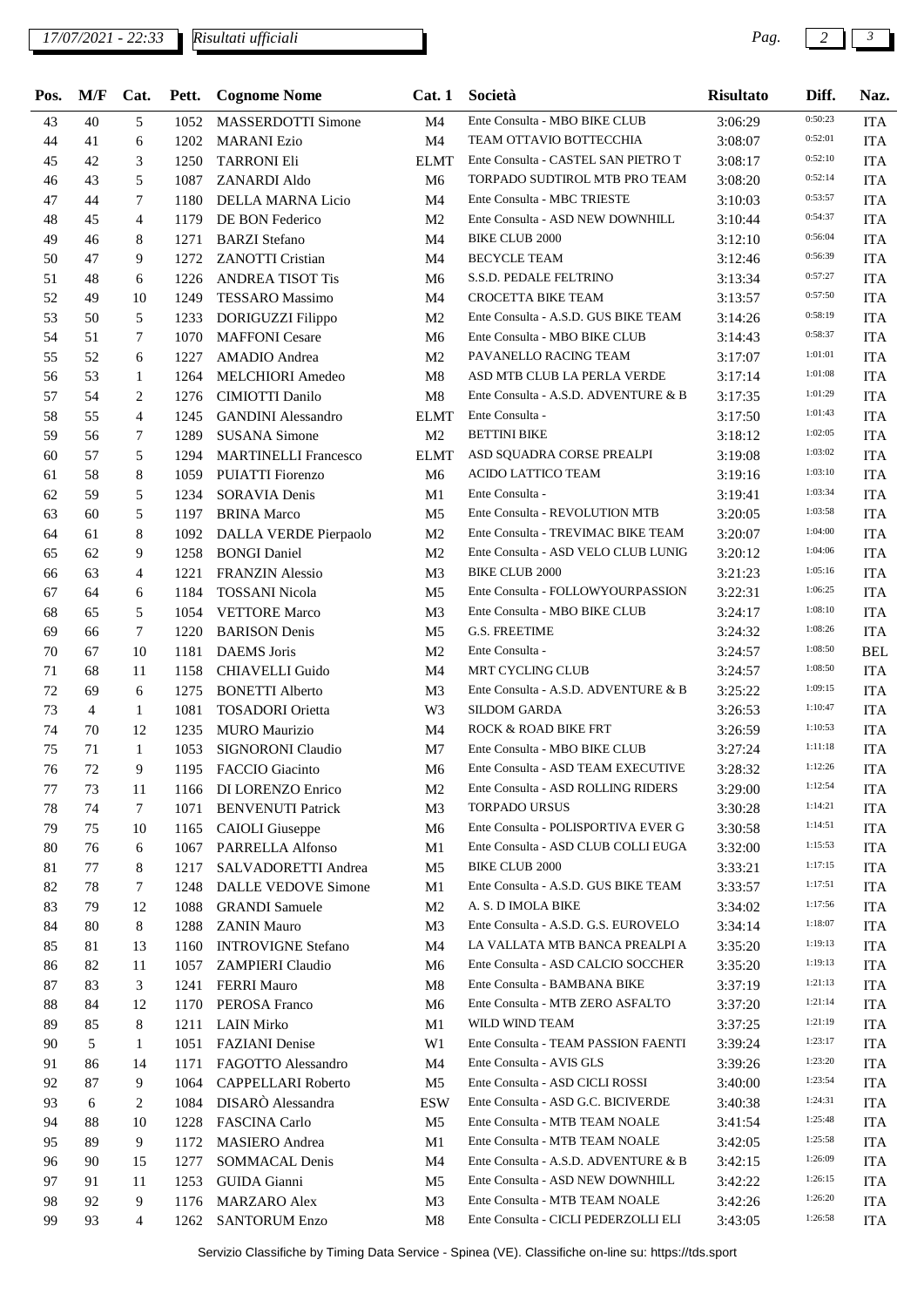*17/07/2021 - 22:33 Pag. 2 3*

*Risultati ufficiali*

| Pos. | M/F            | Cat.           | Pett. | <b>Cognome Nome</b>         | Cat.1          | Società                              | <b>Risultato</b> | Diff.   | Naz.       |
|------|----------------|----------------|-------|-----------------------------|----------------|--------------------------------------|------------------|---------|------------|
| 43   | 40             | 5              | 1052  | <b>MASSERDOTTI Simone</b>   | M4             | Ente Consulta - MBO BIKE CLUB        | 3:06:29          | 0:50:23 | <b>ITA</b> |
| 44   | 41             | 6              | 1202  | <b>MARANI</b> Ezio          | M4             | TEAM OTTAVIO BOTTECCHIA              | 3:08:07          | 0:52:01 | <b>ITA</b> |
| 45   | 42             | 3              | 1250  | <b>TARRONIEli</b>           | <b>ELMT</b>    | Ente Consulta - CASTEL SAN PIETRO T  | 3:08:17          | 0:52:10 | <b>ITA</b> |
| 46   | 43             | 5              | 1087  | <b>ZANARDI Aldo</b>         | M <sub>6</sub> | TORPADO SUDTIROL MTB PRO TEAM        | 3:08:20          | 0:52:14 | <b>ITA</b> |
| 47   | 44             | 7              | 1180  | <b>DELLA MARNA Licio</b>    | M4             | Ente Consulta - MBC TRIESTE          | 3:10:03          | 0:53:57 | <b>ITA</b> |
| 48   | 45             | 4              | 1179  | DE BON Federico             | M <sub>2</sub> | Ente Consulta - ASD NEW DOWNHILL     | 3:10:44          | 0:54:37 | <b>ITA</b> |
| 49   | 46             | 8              | 1271  | <b>BARZI</b> Stefano        | M4             | <b>BIKE CLUB 2000</b>                | 3:12:10          | 0:56:04 | <b>ITA</b> |
| 50   | 47             | 9              | 1272  | <b>ZANOTTI Cristian</b>     | M4             | <b>BECYCLE TEAM</b>                  | 3:12:46          | 0:56:39 | <b>ITA</b> |
| 51   | 48             | 6              | 1226  | <b>ANDREA TISOT Tis</b>     | M6             | S.S.D. PEDALE FELTRINO               | 3:13:34          | 0:57:27 | <b>ITA</b> |
| 52   | 49             | 10             | 1249  | <b>TESSARO</b> Massimo      | M4             | <b>CROCETTA BIKE TEAM</b>            | 3:13:57          | 0:57:50 | <b>ITA</b> |
| 53   | 50             | 5              | 1233  | DORIGUZZI Filippo           | M <sub>2</sub> | Ente Consulta - A.S.D. GUS BIKE TEAM | 3:14:26          | 0:58:19 | <b>ITA</b> |
| 54   | 51             | 7              | 1070  | <b>MAFFONI</b> Cesare       | M6             | Ente Consulta - MBO BIKE CLUB        | 3:14:43          | 0:58:37 | <b>ITA</b> |
| 55   | 52             | 6              | 1227  | <b>AMADIO</b> Andrea        | M <sub>2</sub> | PAVANELLO RACING TEAM                | 3:17:07          | 1:01:01 | <b>ITA</b> |
| 56   | 53             | $\mathbf{1}$   | 1264  | <b>MELCHIORI</b> Amedeo     | M8             | ASD MTB CLUB LA PERLA VERDE          | 3:17:14          | 1:01:08 | <b>ITA</b> |
| 57   | 54             | 2              | 1276  | CIMIOTTI Danilo             | M8             | Ente Consulta - A.S.D. ADVENTURE & B | 3:17:35          | 1:01:29 | <b>ITA</b> |
| 58   | 55             | $\overline{4}$ | 1245  | <b>GANDINI</b> Alessandro   | ELMT           | Ente Consulta -                      | 3:17:50          | 1:01:43 | <b>ITA</b> |
| 59   | 56             | 7              | 1289  | <b>SUSANA Simone</b>        | M <sub>2</sub> | <b>BETTINI BIKE</b>                  | 3:18:12          | 1:02:05 | <b>ITA</b> |
| 60   | 57             | 5              | 1294  | <b>MARTINELLI Francesco</b> | <b>ELMT</b>    | ASD SQUADRA CORSE PREALPI            | 3:19:08          | 1:03:02 | <b>ITA</b> |
|      | 58             | 8              | 1059  | <b>PUIATTI</b> Fiorenzo     | M <sub>6</sub> | ACIDO LATTICO TEAM                   |                  | 1:03:10 | <b>ITA</b> |
| 61   |                |                |       |                             |                | Ente Consulta -                      | 3:19:16          | 1:03:34 |            |
| 62   | 59             | 5              | 1234  | <b>SORAVIA Denis</b>        | M1             | Ente Consulta - REVOLUTION MTB       | 3:19:41          | 1:03:58 | <b>ITA</b> |
| 63   | 60             | 5              | 1197  | <b>BRINA</b> Marco          | M <sub>5</sub> |                                      | 3:20:05          | 1:04:00 | <b>ITA</b> |
| 64   | 61             | 8              | 1092  | DALLA VERDE Pierpaolo       | M <sub>2</sub> | Ente Consulta - TREVIMAC BIKE TEAM   | 3:20:07          | 1:04:06 | <b>ITA</b> |
| 65   | 62             | 9              | 1258  | <b>BONGI</b> Daniel         | M <sub>2</sub> | Ente Consulta - ASD VELO CLUB LUNIG  | 3:20:12          | 1:05:16 | <b>ITA</b> |
| 66   | 63             | 4              | 1221  | <b>FRANZIN Alessio</b>      | M <sub>3</sub> | <b>BIKE CLUB 2000</b>                | 3:21:23          |         | <b>ITA</b> |
| 67   | 64             | 6              | 1184  | <b>TOSSANI</b> Nicola       | M <sub>5</sub> | Ente Consulta - FOLLOWYOURPASSION    | 3:22:31          | 1:06:25 | <b>ITA</b> |
| 68   | 65             | 5              | 1054  | <b>VETTORE Marco</b>        | M <sub>3</sub> | Ente Consulta - MBO BIKE CLUB        | 3:24:17          | 1:08:10 | <b>ITA</b> |
| 69   | 66             | 7              | 1220  | <b>BARISON</b> Denis        | M <sub>5</sub> | <b>G.S. FREETIME</b>                 | 3:24:32          | 1:08:26 | <b>ITA</b> |
| 70   | 67             | 10             | 1181  | <b>DAEMS</b> Joris          | M <sub>2</sub> | Ente Consulta -                      | 3:24:57          | 1:08:50 | <b>BEL</b> |
| 71   | 68             | 11             | 1158  | <b>CHIAVELLI Guido</b>      | M4             | MRT CYCLING CLUB                     | 3:24:57          | 1:08:50 | <b>ITA</b> |
| 72   | 69             | 6              | 1275  | <b>BONETTI Alberto</b>      | M <sub>3</sub> | Ente Consulta - A.S.D. ADVENTURE & B | 3:25:22          | 1:09:15 | <b>ITA</b> |
| 73   | $\overline{4}$ | $\mathbf{1}$   | 1081  | <b>TOSADORI</b> Orietta     | W3             | <b>SILDOM GARDA</b>                  | 3:26:53          | 1:10:47 | <b>ITA</b> |
| 74   | 70             | 12             | 1235  | <b>MURO</b> Maurizio        | M4             | <b>ROCK &amp; ROAD BIKE FRT</b>      | 3:26:59          | 1:10:53 | <b>ITA</b> |
| 75   | 71             | 1              | 1053  | <b>SIGNORONI Claudio</b>    | M7             | Ente Consulta - MBO BIKE CLUB        | 3:27:24          | 1:11:18 | <b>ITA</b> |
| 76   | 72             | 9              | 1195  | FACCIO Giacinto             | M6             | Ente Consulta - ASD TEAM EXECUTIVE   | 3:28:32          | 1:12:26 | <b>ITA</b> |
| 77   | 73             | 11             | 1166  | DI LORENZO Enrico           | M <sub>2</sub> | Ente Consulta - ASD ROLLING RIDERS   | 3:29:00          | 1:12:54 | <b>ITA</b> |
| 78   | 74             | 7              | 1071  | <b>BENVENUTI Patrick</b>    | M3             | <b>TORPADO URSUS</b>                 | 3:30:28          | 1:14:21 | <b>ITA</b> |
| 79   | 75             | 10             | 1165  | <b>CAIOLI</b> Giuseppe      | M6             | Ente Consulta - POLISPORTIVA EVER G  | 3:30:58          | 1:14:51 | <b>ITA</b> |
| 80   | 76             | 6              | 1067  | PARRELLA Alfonso            | M1             | Ente Consulta - ASD CLUB COLLI EUGA  | 3:32:00          | 1:15:53 | <b>ITA</b> |
| 81   | 77             | 8              | 1217  | SALVADORETTI Andrea         | M <sub>5</sub> | <b>BIKE CLUB 2000</b>                | 3:33:21          | 1:17:15 | <b>ITA</b> |
| 82   | 78             | 7              | 1248  | <b>DALLE VEDOVE Simone</b>  | M1             | Ente Consulta - A.S.D. GUS BIKE TEAM | 3:33:57          | 1:17:51 | <b>ITA</b> |
| 83   | 79             | 12             | 1088  | <b>GRANDI</b> Samuele       | M <sub>2</sub> | A. S. D IMOLA BIKE                   | 3:34:02          | 1:17:56 | <b>ITA</b> |
| 84   | 80             | 8              | 1288  | <b>ZANIN Mauro</b>          | M <sub>3</sub> | Ente Consulta - A.S.D. G.S. EUROVELO | 3:34:14          | 1:18:07 | <b>ITA</b> |
| 85   | 81             | 13             | 1160  | <b>INTROVIGNE Stefano</b>   | M4             | LA VALLATA MTB BANCA PREALPI A       | 3:35:20          | 1:19:13 | <b>ITA</b> |
| 86   | 82             | 11             | 1057  | <b>ZAMPIERI Claudio</b>     | M6             | Ente Consulta - ASD CALCIO SOCCHER   | 3:35:20          | 1:19:13 | <b>ITA</b> |
| 87   | 83             | 3              | 1241  | <b>FERRI Mauro</b>          | M8             | Ente Consulta - BAMBANA BIKE         | 3:37:19          | 1:21:13 | <b>ITA</b> |
| 88   | 84             | 12             | 1170  | PEROSA Franco               | M6             | Ente Consulta - MTB ZERO ASFALTO     | 3:37:20          | 1:21:14 | <b>ITA</b> |
| 89   | 85             | 8              | 1211  | <b>LAIN Mirko</b>           | M1             | WILD WIND TEAM                       | 3:37:25          | 1:21:19 | <b>ITA</b> |
| 90   | 5              | 1              | 1051  | <b>FAZIANI</b> Denise       | W1             | Ente Consulta - TEAM PASSION FAENTI  | 3:39:24          | 1:23:17 | <b>ITA</b> |
| 91   | 86             | 14             | 1171  | FAGOTTO Alessandro          | M4             | Ente Consulta - AVIS GLS             | 3:39:26          | 1:23:20 | <b>ITA</b> |
| 92   | 87             | 9              | 1064  | CAPPELLARI Roberto          | M5             | Ente Consulta - ASD CICLI ROSSI      | 3:40:00          | 1:23:54 | <b>ITA</b> |
| 93   | 6              | 2              | 1084  | DISARÒ Alessandra           | <b>ESW</b>     | Ente Consulta - ASD G.C. BICIVERDE   | 3:40:38          | 1:24:31 | <b>ITA</b> |
| 94   | 88             | 10             | 1228  | <b>FASCINA Carlo</b>        | M5             | Ente Consulta - MTB TEAM NOALE       | 3:41:54          | 1:25:48 | <b>ITA</b> |
| 95   | 89             | 9              | 1172  | <b>MASIERO</b> Andrea       | M1             | Ente Consulta - MTB TEAM NOALE       | 3:42:05          | 1:25:58 | <b>ITA</b> |
| 96   | 90             | 15             | 1277  | <b>SOMMACAL Denis</b>       | M4             | Ente Consulta - A.S.D. ADVENTURE & B |                  | 1:26:09 | <b>ITA</b> |
|      |                |                |       |                             |                | Ente Consulta - ASD NEW DOWNHILL     | 3:42:15          | 1:26:15 |            |
| 97   | 91             | 11             | 1253  | GUIDA Gianni                | M5             |                                      | 3:42:22          | 1:26:20 | <b>ITA</b> |
| 98   | 92             | 9              | 1176  | <b>MARZARO</b> Alex         | M3             | Ente Consulta - MTB TEAM NOALE       | 3:42:26          | 1:26:58 | <b>ITA</b> |
| 99   | 93             | 4              | 1262  | <b>SANTORUM Enzo</b>        | M8             | Ente Consulta - CICLI PEDERZOLLI ELI | 3:43:05          |         | <b>ITA</b> |